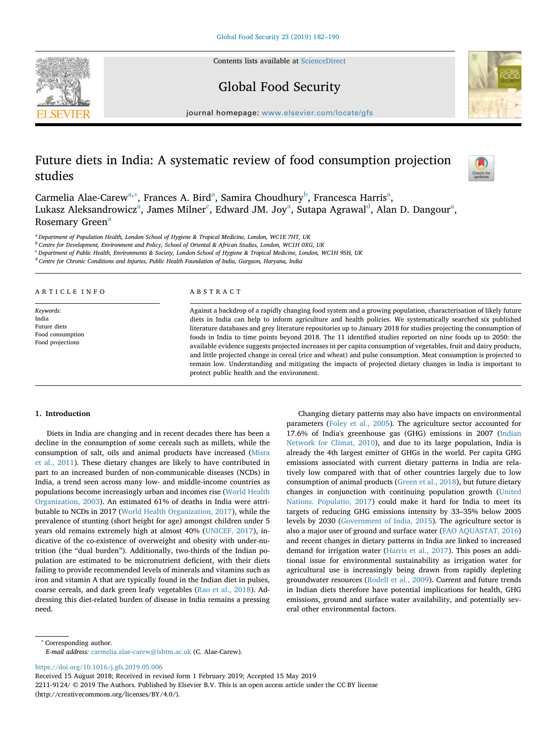Contents lists available at [ScienceDirect](http://www.sciencedirect.com/science/journal/22119124)







journal homepage: [www.elsevier.com/locate/gfs](https://www.elsevier.com/locate/gfs)

# Future diets in India: A systematic review of food consumption projection studies



Carmelia Alae-Carew<sup>[a,](#page-0-0)[∗](#page-0-1)</sup>, Fr[a](#page-0-0)nces A. Bird<sup>a</sup>, Samira Choudhury<sup>[b](#page-0-2)</sup>, Francesca Harris<sup>a</sup>, Luk[a](#page-0-0)sz Aleksan[d](#page-0-4)rowicz $^{\rm a}$ , James Milner $^{\rm c}$ , Edward JM. Joy $^{\rm a}$ , Sutapa Agrawal $^{\rm d}$ , Alan D. Dangour $^{\rm a}$ , Rosemary Green<sup>a</sup>

<span id="page-0-0"></span><sup>a</sup> *Department of Population Health, London School of Hygiene & Tropical Medicine, London, WC1E 7HT, UK*

<span id="page-0-2"></span><sup>b</sup> *Centre for Development, Environment and Policy, School of Oriental & African Studies, London, WC1H 0XG, UK*

<span id="page-0-3"></span><sup>c</sup> *Department of Public Health, Environments & Society, London School of Hygiene & Tropical Medicine, London, WC1H 9SH, UK*

<span id="page-0-4"></span><sup>d</sup> *Centre for Chronic Conditions and Injuries, Public Health Foundation of India, Gurgaon, Haryana, India*

# ARTICLE INFO

*Keywords:* India Future diets Food consumption Food projections

#### ABSTRACT

Against a backdrop of a rapidly changing food system and a growing population, characterisation of likely future diets in India can help to inform agriculture and health policies. We systematically searched six published literature databases and grey literature repositories up to January 2018 for studies projecting the consumption of foods in India to time points beyond 2018. The 11 identified studies reported on nine foods up to 2050: the available evidence suggests projected increases in per capita consumption of vegetables, fruit and dairy products, and little projected change in cereal (rice and wheat) and pulse consumption. Meat consumption is projected to remain low. Understanding and mitigating the impacts of projected dietary changes in India is important to protect public health and the environment.

# **1. Introduction**

Diets in India are changing and in recent decades there has been a decline in the consumption of some cereals such as millets, while the consumption of salt, oils and animal products have increased ([Misra](#page-7-0) [et al., 2011](#page-7-0)). These dietary changes are likely to have contributed in part to an increased burden of non-communicable diseases (NCDs) in India, a trend seen across many low- and middle-income countries as populations become increasingly urban and incomes rise [\(World Health](#page-8-0) [Organization, 2003\)](#page-8-0). An estimated 61% of deaths in India were attributable to NCDs in 2017 ([World Health Organization, 2017](#page-8-1)), while the prevalence of stunting (short height for age) amongst children under 5 years old remains extremely high at almost 40% ([UNICEF, 2017\)](#page-8-2), indicative of the co-existence of overweight and obesity with under-nutrition (the "dual burden"). Additionally, two-thirds of the Indian population are estimated to be micronutrient deficient, with their diets failing to provide recommended levels of minerals and vitamins such as iron and vitamin A that are typically found in the Indian diet in pulses, coarse cereals, and dark green leafy vegetables [\(Rao et al., 2018](#page-7-1)). Addressing this diet-related burden of disease in India remains a pressing need.

Changing dietary patterns may also have impacts on environmental parameters [\(Foley et al., 2005\)](#page-7-2). The agriculture sector accounted for 17.6% of India's greenhouse gas (GHG) emissions in 2007 ([Indian](#page-7-3) [Network for Climat, 2010](#page-7-3)), and due to its large population, India is already the 4th largest emitter of GHGs in the world. Per capita GHG emissions associated with current dietary patterns in India are relatively low compared with that of other countries largely due to low consumption of animal products [\(Green et al., 2018](#page-7-4)), but future dietary changes in conjunction with continuing population growth ([United](#page-8-3) [Nations. Populatio, 2017\)](#page-8-3) could make it hard for India to meet its targets of reducing GHG emissions intensity by 33–35% below 2005 levels by 2030 ([Government of India, 2015](#page-7-5)). The agriculture sector is also a major user of ground and surface water [\(FAO AQUASTAT, 2016\)](#page-8-4) and recent changes in dietary patterns in India are linked to increased demand for irrigation water [\(Harris et al., 2017\)](#page-7-6). This poses an additional issue for environmental sustainability as irrigation water for agricultural use is increasingly being drawn from rapidly depleting groundwater resources ([Rodell et al., 2009\)](#page-8-5). Current and future trends in Indian diets therefore have potential implications for health, GHG emissions, ground and surface water availability, and potentially several other environmental factors.

<span id="page-0-1"></span><sup>∗</sup> Corresponding author.

<https://doi.org/10.1016/j.gfs.2019.05.006>

Received 15 August 2018; Received in revised form 1 February 2019; Accepted 15 May 2019

2211-9124/ © 2019 The Authors. Published by Elsevier B.V. This is an open access article under the CC BY license (http://creativecommons.org/licenses/BY/4.0/).

*E-mail address:* [carmelia.alae-carew@lshtm.ac.uk](mailto:carmelia.alae-carew@lshtm.ac.uk) (C. Alae-Carew).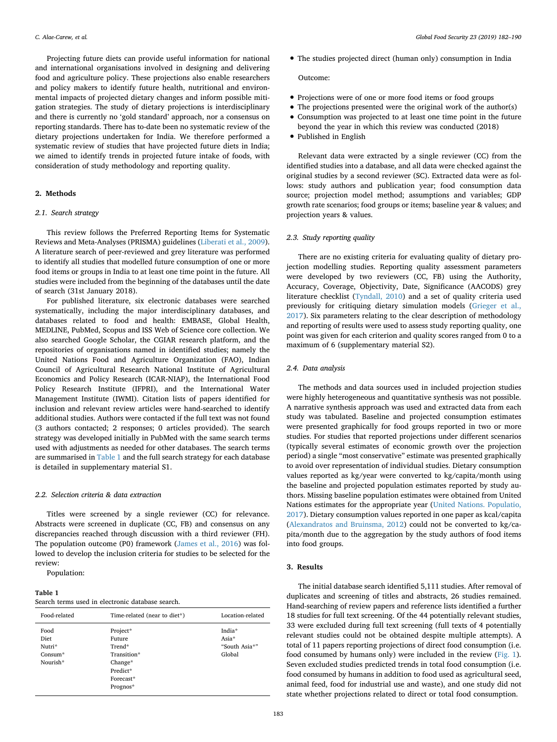Projecting future diets can provide useful information for national and international organisations involved in designing and delivering food and agriculture policy. These projections also enable researchers and policy makers to identify future health, nutritional and environmental impacts of projected dietary changes and inform possible mitigation strategies. The study of dietary projections is interdisciplinary and there is currently no 'gold standard' approach, nor a consensus on reporting standards. There has to-date been no systematic review of the dietary projections undertaken for India. We therefore performed a systematic review of studies that have projected future diets in India; we aimed to identify trends in projected future intake of foods, with consideration of study methodology and reporting quality.

# **2. Methods**

# *2.1. Search strategy*

This review follows the Preferred Reporting Items for Systematic Reviews and Meta-Analyses (PRISMA) guidelines ([Liberati et al., 2009](#page-7-7)). A literature search of peer-reviewed and grey literature was performed to identify all studies that modelled future consumption of one or more food items or groups in India to at least one time point in the future. All studies were included from the beginning of the databases until the date of search (31st January 2018).

For published literature, six electronic databases were searched systematically, including the major interdisciplinary databases, and databases related to food and health: EMBASE, Global Health, MEDLINE, PubMed, Scopus and ISS Web of Science core collection. We also searched Google Scholar, the CGIAR research platform, and the repositories of organisations named in identified studies; namely the United Nations Food and Agriculture Organization (FAO), Indian Council of Agricultural Research National Institute of Agricultural Economics and Policy Research (ICAR-NIAP), the International Food Policy Research Institute (IFPRI), and the International Water Management Institute (IWMI). Citation lists of papers identified for inclusion and relevant review articles were hand-searched to identify additional studies. Authors were contacted if the full text was not found (3 authors contacted; 2 responses; 0 articles provided). The search strategy was developed initially in PubMed with the same search terms used with adjustments as needed for other databases. The search terms are summarised in [Table 1](#page-1-0) and the full search strategy for each database is detailed in supplementary material S1.

### *2.2. Selection criteria & data extraction*

Titles were screened by a single reviewer (CC) for relevance. Abstracts were screened in duplicate (CC, FB) and consensus on any discrepancies reached through discussion with a third reviewer (FH). The population outcome (P0) framework [\(James et al., 2016\)](#page-7-8) was followed to develop the inclusion criteria for studies to be selected for the review:

Population:

# <span id="page-1-0"></span>**Table 1**

| Search terms used in electronic database search. |  |  |  |  |  |  |  |
|--------------------------------------------------|--|--|--|--|--|--|--|
|--------------------------------------------------|--|--|--|--|--|--|--|

| Food-related                                    | Time-related (near to diet*)                                       | Location-related                           |
|-------------------------------------------------|--------------------------------------------------------------------|--------------------------------------------|
| Food<br>Diet<br>Nutri*<br>$Consum*$<br>Nourish* | Project*<br>Future<br>Trend*<br>Transition*<br>Change*<br>Predict* | India*<br>Asia*<br>"South Asia*"<br>Global |
|                                                 | Forecast*<br>Prognos*                                              |                                            |

• The studies projected direct (human only) consumption in India

#### Outcome:

- Projections were of one or more food items or food groups
- The projections presented were the original work of the author(s)
- Consumption was projected to at least one time point in the future beyond the year in which this review was conducted (2018)
- Published in English

Relevant data were extracted by a single reviewer (CC) from the identified studies into a database, and all data were checked against the original studies by a second reviewer (SC). Extracted data were as follows: study authors and publication year; food consumption data source; projection model method; assumptions and variables; GDP growth rate scenarios; food groups or items; baseline year & values; and projection years & values.

# *2.3. Study reporting quality*

There are no existing criteria for evaluating quality of dietary projection modelling studies. Reporting quality assessment parameters were developed by two reviewers (CC, FB) using the Authority, Accuracy, Coverage, Objectivity, Date, Significance (AACODS) grey literature checklist [\(Tyndall, 2010\)](#page-8-6) and a set of quality criteria used previously for critiquing dietary simulation models [\(Grieger et al.,](#page-7-9) [2017\)](#page-7-9). Six parameters relating to the clear description of methodology and reporting of results were used to assess study reporting quality, one point was given for each criterion and quality scores ranged from 0 to a maximum of 6 (supplementary material S2).

# *2.4. Data analysis*

The methods and data sources used in included projection studies were highly heterogeneous and quantitative synthesis was not possible. A narrative synthesis approach was used and extracted data from each study was tabulated. Baseline and projected consumption estimates were presented graphically for food groups reported in two or more studies. For studies that reported projections under different scenarios (typically several estimates of economic growth over the projection period) a single "most conservative" estimate was presented graphically to avoid over representation of individual studies. Dietary consumption values reported as kg/year were converted to kg/capita/month using the baseline and projected population estimates reported by study authors. Missing baseline population estimates were obtained from United Nations estimates for the appropriate year [\(United Nations. Populatio,](#page-8-3) [2017\)](#page-8-3). Dietary consumption values reported in one paper as kcal/capita ([Alexandratos and Bruinsma, 2012\)](#page-7-10) could not be converted to kg/capita/month due to the aggregation by the study authors of food items into food groups.

# **3. Results**

The initial database search identified 5,111 studies. After removal of duplicates and screening of titles and abstracts, 26 studies remained. Hand-searching of review papers and reference lists identified a further 18 studies for full text screening. Of the 44 potentially relevant studies, 33 were excluded during full text screening (full texts of 4 potentially relevant studies could not be obtained despite multiple attempts). A total of 11 papers reporting projections of direct food consumption (i.e. food consumed by humans only) were included in the review [\(Fig. 1](#page-2-0)). Seven excluded studies predicted trends in total food consumption (i.e. food consumed by humans in addition to food used as agricultural seed, animal feed, food for industrial use and waste), and one study did not state whether projections related to direct or total food consumption.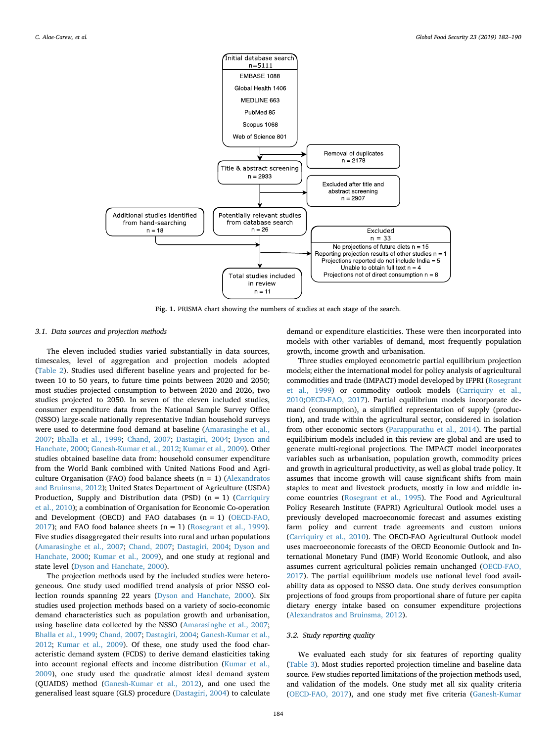<span id="page-2-0"></span>

**Fig. 1.** PRISMA chart showing the numbers of studies at each stage of the search.

# *3.1. Data sources and projection methods*

The eleven included studies varied substantially in data sources, timescales, level of aggregation and projection models adopted ([Table 2\)](#page-3-0). Studies used different baseline years and projected for between 10 to 50 years, to future time points between 2020 and 2050; most studies projected consumption to between 2020 and 2026, two studies projected to 2050. In seven of the eleven included studies, consumer expenditure data from the National Sample Survey Office (NSSO) large-scale nationally representative Indian household surveys were used to determine food demand at baseline [\(Amarasinghe et al.,](#page-7-11) [2007;](#page-7-11) [Bhalla et al., 1999](#page-7-12); [Chand, 2007;](#page-7-13) [Dastagiri, 2004](#page-7-14); [Dyson and](#page-7-15) [Hanchate, 2000](#page-7-15); [Ganesh-Kumar et al., 2012](#page-7-16); [Kumar et al., 2009](#page-7-17)). Other studies obtained baseline data from: household consumer expenditure from the World Bank combined with United Nations Food and Agriculture Organisation (FAO) food balance sheets  $(n = 1)$  ([Alexandratos](#page-7-10) [and Bruinsma, 2012](#page-7-10)); United States Department of Agriculture (USDA) Production, Supply and Distribution data (PSD)  $(n = 1)$  [\(Carriquiry](#page-7-18) [et al., 2010](#page-7-18)); a combination of Organisation for Economic Co-operation and Development (OECD) and FAO databases  $(n = 1)$  [\(OECD-FAO,](#page-7-19) [2017\)](#page-7-19); and FAO food balance sheets  $(n = 1)$  ([Rosegrant et al., 1999](#page-8-7)). Five studies disaggregated their results into rural and urban populations ([Amarasinghe et al., 2007](#page-7-11); [Chand, 2007](#page-7-13); [Dastagiri, 2004;](#page-7-14) [Dyson and](#page-7-15) [Hanchate, 2000;](#page-7-15) [Kumar et al., 2009](#page-7-17)), and one study at regional and state level [\(Dyson and Hanchate, 2000\)](#page-7-15).

The projection methods used by the included studies were heterogeneous. One study used modified trend analysis of prior NSSO collection rounds spanning 22 years [\(Dyson and Hanchate, 2000\)](#page-7-15). Six studies used projection methods based on a variety of socio-economic demand characteristics such as population growth and urbanisation, using baseline data collected by the NSSO ([Amarasinghe et al., 2007](#page-7-11); [Bhalla et al., 1999](#page-7-12); [Chand, 2007;](#page-7-13) [Dastagiri, 2004](#page-7-14); [Ganesh-Kumar et al.,](#page-7-16) [2012;](#page-7-16) [Kumar et al., 2009\)](#page-7-17). Of these, one study used the food characteristic demand system (FCDS) to derive demand elasticities taking into account regional effects and income distribution [\(Kumar et al.,](#page-7-17) [2009\)](#page-7-17), one study used the quadratic almost ideal demand system (QUAIDS) method ([Ganesh-Kumar et al., 2012](#page-7-16)), and one used the generalised least square (GLS) procedure ([Dastagiri, 2004](#page-7-14)) to calculate

demand or expenditure elasticities. These were then incorporated into models with other variables of demand, most frequently population growth, income growth and urbanisation.

Three studies employed econometric partial equilibrium projection models; either the international model for policy analysis of agricultural commodities and trade (IMPACT) model developed by IFPRI [\(Rosegrant](#page-8-7) [et al., 1999\)](#page-8-7) or commodity outlook models [\(Carriquiry et al.,](#page-7-18) [2010;](#page-7-18)[OECD-FAO, 2017](#page-7-19)). Partial equilibrium models incorporate demand (consumption), a simplified representation of supply (production), and trade within the agricultural sector, considered in isolation from other economic sectors ([Parappurathu et al., 2014](#page-7-20)). The partial equilibirium models included in this review are global and are used to generate multi-regional projections. The IMPACT model incorporates variables such as urbanisation, population growth, commodity prices and growth in agricultural productivity, as well as global trade policy. It assumes that income growth will cause significant shifts from main staples to meat and livestock products, mostly in low and middle income countries ([Rosegrant et al., 1995\)](#page-8-8). The Food and Agricultural Policy Research Institute (FAPRI) Agricultural Outlook model uses a previously developed macroeconomic forecast and assumes existing farm policy and current trade agreements and custom unions ([Carriquiry et al., 2010](#page-7-18)). The OECD-FAO Agricultural Outlook model uses macroeconomic forecasts of the OECD Economic Outlook and International Monetary Fund (IMF) World Economic Outlook, and also assumes current agricultural policies remain unchanged [\(OECD-FAO,](#page-7-19) [2017\)](#page-7-19). The partial equilibrium models use national level food availability data as opposed to NSSO data. One study derives consumption projections of food groups from proportional share of future per capita dietary energy intake based on consumer expenditure projections ([Alexandratos and Bruinsma, 2012](#page-7-10)).

# *3.2. Study reporting quality*

We evaluated each study for six features of reporting quality ([Table 3](#page-4-0)). Most studies reported projection timeline and baseline data source. Few studies reported limitations of the projection methods used, and validation of the models. One study met all six quality criteria ([OECD-FAO, 2017\)](#page-7-19), and one study met five criteria ([Ganesh-Kumar](#page-7-16)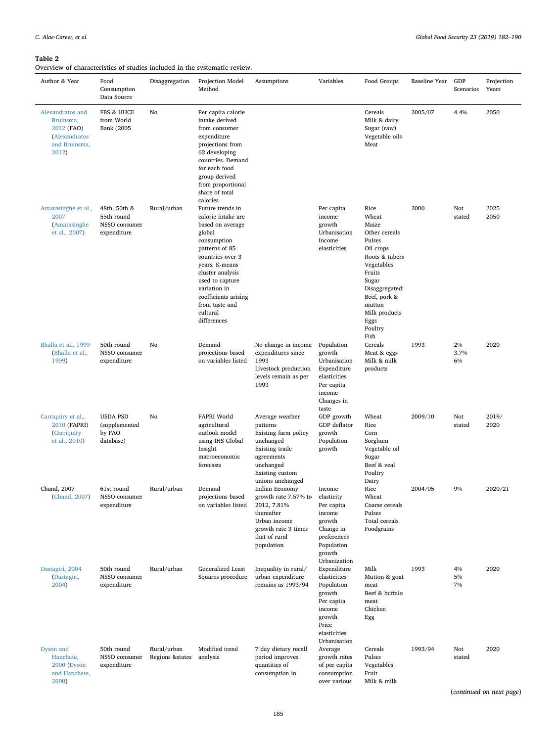# <span id="page-3-0"></span>**Table 2**

Overview of characteristics of studies included in the systematic review.

| Overview of enaracteristics of studies included in the systematic review.<br>Author & Year | Food<br>Consumption<br>Data Source                         | Disaggregation                  | Projection Model<br>Method                                                                                                                                                                                                                                              | Assumptions                                                                                                                                          | Variables                                                                                                                      | Food Groups                                                                                                                                                                                               | Baseline Year | GDP<br>Scenarios    | Projection<br>Years |
|--------------------------------------------------------------------------------------------|------------------------------------------------------------|---------------------------------|-------------------------------------------------------------------------------------------------------------------------------------------------------------------------------------------------------------------------------------------------------------------------|------------------------------------------------------------------------------------------------------------------------------------------------------|--------------------------------------------------------------------------------------------------------------------------------|-----------------------------------------------------------------------------------------------------------------------------------------------------------------------------------------------------------|---------------|---------------------|---------------------|
| Alexandratos and<br>Bruinsma,<br>2012 (FAO)<br>(Alexandratos<br>and Bruinsma,<br>2012)     | FBS & HHCE<br>from World<br><b>Bank</b> (2005              | No                              | Per capita calorie<br>intake derived<br>from consumer<br>expenditure<br>projections from<br>62 developing<br>countries. Demand<br>for each food<br>group derived<br>from proportional<br>share of total<br>calories                                                     |                                                                                                                                                      |                                                                                                                                | Cereals<br>Milk & dairy<br>Sugar (raw)<br>Vegetable oils<br>Meat                                                                                                                                          | 2005/07       | 4.4%                | 2050                |
| Amarasinghe et al.,<br>2007<br>(Amarasinghe<br>et al., 2007)                               | 48th, 50th &<br>55th round<br>NSSO consumer<br>expenditure | Rural/urban                     | Future trends in<br>calorie intake are<br>based on average<br>global<br>consumption<br>patterns of 85<br>countries over 3<br>years. K-means<br>cluster analysis<br>used to capture<br>variation in<br>coefficients arising<br>from taste and<br>cultural<br>differences |                                                                                                                                                      | Per capita<br>income<br>growth<br>Urbanisation<br>Income<br>elasticities                                                       | Rice<br>Wheat<br>Maize<br>Other cereals<br>Pulses<br>Oil crops<br>Roots & tubers<br>Vegetables<br>Fruits<br>Sugar<br>Disaggregated:<br>Beef, pork &<br>mutton<br>Milk products<br>Eggs<br>Poultry<br>Fish | 2000          | Not<br>stated       | 2025<br>2050        |
| Bhalla et al., 1999<br>(Bhalla et al.,<br>1999)                                            | 50th round<br>NSSO consumer<br>expenditure                 | No                              | Demand<br>projections based<br>on variables listed                                                                                                                                                                                                                      | No change in income<br>expenditures since<br>1993<br>Livestock production<br>levels remain as per<br>1993                                            | Population<br>growth<br>Urbanisation<br>Expenditure<br>elasticities<br>Per capita<br>income<br>Changes in<br>taste             | Cereals<br>Meat & eggs<br>Milk & milk<br>products                                                                                                                                                         | 1993          | $2\%$<br>3.7%<br>6% | 2020                |
| Carriquiry et al.,<br>2010 (FAPRI)<br>(Carriquiry<br>et al., 2010)                         | <b>USDA PSD</b><br>(supplemented<br>by FAO<br>database)    | No                              | FAPRI World<br>agricultural<br>outlook model<br>using IHS Global<br>Insight<br>macroeconomic<br>forecasts                                                                                                                                                               | Average weather<br>patterns<br>Existing farm policy<br>unchanged<br>Existing trade<br>agreements<br>unchanged<br>Existing custom<br>unions unchanged | GDP growth<br>GDP deflator<br>growth<br>Population<br>growth                                                                   | Wheat<br>Rice<br>Corn<br>Sorghum<br>Vegetable oil<br>Sugar<br>Beef & veal<br>Poultry<br>Dairy                                                                                                             | 2009/10       | Not<br>stated       | 2019/<br>2020       |
| Chand, 2007<br>(Chand, 2007)                                                               | 61st round<br>NSSO consumer<br>expenditure                 | Rural/urban                     | Demand<br>projections based<br>on variables listed                                                                                                                                                                                                                      | Indian Economy<br>growth rate 7.57% to<br>2012, 7.81%<br>thereafter<br>Urban income<br>growth rate 3 times<br>that of rural<br>population            | Income<br>elasticity<br>Per capita<br>income<br>growth<br>Change in<br>preferences<br>Population<br>growth<br>Urbanization     | Rice<br>Wheat<br>Coarse cereals<br>Pulses<br>Total cereals<br>Foodgrains                                                                                                                                  | 2004/05       | 9%                  | 2020/21             |
| Dastagiri, 2004<br>(Dastagiri,<br>2004)                                                    | 50th round<br>NSSO consumer<br>expenditure                 | Rural/urban                     | Generalized Least<br>Squares procedure                                                                                                                                                                                                                                  | Inequality in rural/<br>urban expenditure<br>remains as 1993/94                                                                                      | Expenditure<br>elasticities<br>Population<br>growth<br>Per capita<br>income<br>growth<br>Price<br>elasticities<br>Urbanisation | Milk<br>Mutton & goat<br>meat<br>Beef & buffalo<br>meat<br>Chicken<br>Egg                                                                                                                                 | 1993          | 4%<br>5%<br>7%      | 2020                |
| Dyson and<br>Hanchate,<br>2000 (Dyson<br>and Hanchate,<br>2000)                            | 50th round<br>NSSO consumer<br>expenditure                 | Rural/urban<br>Regions & states | Modified trend<br>analysis                                                                                                                                                                                                                                              | 7 day dietary recall<br>period improves<br>quantities of<br>consumption in                                                                           | Average<br>growth rates<br>of per capita<br>consumption<br>over various                                                        | Cereals<br>Pulses<br>Vegetables<br>Fruit<br>Milk & milk                                                                                                                                                   | 1993/94       | Not<br>stated       | 2020                |

(*continued on next page*)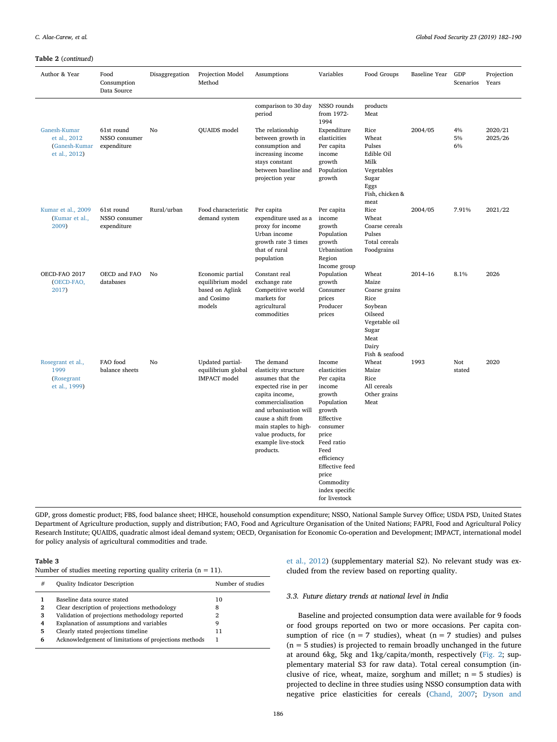#### **Table 2** (*continued*)

| Author & Year                                                  | Food<br>Consumption<br>Data Source         | Disaggregation | Projection Model<br>Method                                                       | Assumptions                                                                                                                                                                                                                                             | Variables                                                                                                                                                                                                                                | Food Groups                                                                                                                 | Baseline Year | GDP<br>Scenarios | Projection<br>Years |
|----------------------------------------------------------------|--------------------------------------------|----------------|----------------------------------------------------------------------------------|---------------------------------------------------------------------------------------------------------------------------------------------------------------------------------------------------------------------------------------------------------|------------------------------------------------------------------------------------------------------------------------------------------------------------------------------------------------------------------------------------------|-----------------------------------------------------------------------------------------------------------------------------|---------------|------------------|---------------------|
| Ganesh-Kumar<br>et al., 2012<br>(Ganesh-Kumar<br>et al., 2012) | 61st round<br>NSSO consumer<br>expenditure | No             | QUAIDS model                                                                     | comparison to 30 day<br>period<br>The relationship<br>between growth in<br>consumption and<br>increasing income<br>stays constant<br>between baseline and<br>projection year                                                                            | NSSO rounds<br>from 1972-<br>1994<br>Expenditure<br>elasticities<br>Per capita<br>income<br>growth<br>Population<br>growth                                                                                                               | products<br>Meat<br>Rice<br>Wheat<br>Pulses<br>Edible Oil<br>Milk<br>Vegetables<br>Sugar<br>Eggs<br>Fish, chicken &<br>meat | 2004/05       | 4%<br>5%<br>6%   | 2020/21<br>2025/26  |
| Kumar et al., 2009<br>(Kumar et al.,<br>2009)                  | 61st round<br>NSSO consumer<br>expenditure | Rural/urban    | Food characteristic<br>demand system                                             | Per capita<br>expenditure used as a<br>proxy for income<br>Urban income<br>growth rate 3 times<br>that of rural<br>population                                                                                                                           | Per capita<br>income<br>growth<br>Population<br>growth<br>Urbanisation<br>Region<br>Income group                                                                                                                                         | Rice<br>Wheat<br>Coarse cereals<br>Pulses<br>Total cereals<br>Foodgrains                                                    | 2004/05       | 7.91%            | 2021/22             |
| OECD-FAO 2017<br>(OECD-FAO,<br>2017)                           | OECD and FAO<br>databases                  | No             | Economic partial<br>equilibrium model<br>based on Aglink<br>and Cosimo<br>models | Constant real<br>exchange rate<br>Competitive world<br>markets for<br>agricultural<br>commodities                                                                                                                                                       | Population<br>growth<br>Consumer<br>prices<br>Producer<br>prices                                                                                                                                                                         | Wheat<br>Maize<br>Coarse grains<br>Rice<br>Soybean<br>Oilseed<br>Vegetable oil<br>Sugar<br>Meat<br>Dairy<br>Fish & seafood  | 2014-16       | 8.1%             | 2026                |
| Rosegrant et al.,<br>1999<br>(Rosegrant<br>et al., 1999)       | FAO food<br>balance sheets                 | No             | Updated partial-<br>equilibrium global<br><b>IMPACT</b> model                    | The demand<br>elasticity structure<br>assumes that the<br>expected rise in per<br>capita income,<br>commercialisation<br>and urbanisation will<br>cause a shift from<br>main staples to high-<br>value products, for<br>example live-stock<br>products. | Income<br>elasticities<br>Per capita<br>income<br>growth<br>Population<br>growth<br>Effective<br>consumer<br>price<br>Feed ratio<br>Feed<br>efficiency<br><b>Effective</b> feed<br>price<br>Commodity<br>index specific<br>for livestock | Wheat<br>Maize<br>Rice<br>All cereals<br>Other grains<br>Meat                                                               | 1993          | Not<br>stated    | 2020                |

GDP, gross domestic product; FBS, food balance sheet; HHCE, household consumption expenditure; NSSO, National Sample Survey Office; USDA PSD, United States Department of Agriculture production, supply and distribution; FAO, Food and Agriculture Organisation of the United Nations; FAPRI, Food and Agricultural Policy Research Institute; QUAIDS, quadratic almost ideal demand system; OECD, Organisation for Economic Co-operation and Development; IMPACT, international model for policy analysis of agricultural commodities and trade.

# <span id="page-4-0"></span>**Table 3**

|  |  |  |  |  |  |  | Number of studies meeting reporting quality criteria ( $n = 11$ ). |
|--|--|--|--|--|--|--|--------------------------------------------------------------------|

| # | <b>Quality Indicator Description</b>                  | Number of studies |
|---|-------------------------------------------------------|-------------------|
|   | Baseline data source stated                           | 10                |
| 2 | Clear description of projections methodology          | 8                 |
| 3 | Validation of projections methodology reported        | 2                 |
| 4 | Explanation of assumptions and variables              | g                 |
| 5 | Clearly stated projections timeline                   | 11                |
| 6 | Acknowledgement of limitations of projections methods |                   |
|   |                                                       |                   |

[et al., 2012](#page-7-16)) (supplementary material S2). No relevant study was excluded from the review based on reporting quality.

#### *3.3. Future dietary trends at national level in India*

Baseline and projected consumption data were available for 9 foods or food groups reported on two or more occasions. Per capita consumption of rice ( $n = 7$  studies), wheat ( $n = 7$  studies) and pulses  $(n = 5$  studies) is projected to remain broadly unchanged in the future at around 6kg, 5kg and 1kg/capita/month, respectively [\(Fig. 2](#page-5-0); supplementary material S3 for raw data). Total cereal consumption (inclusive of rice, wheat, maize, sorghum and millet;  $n = 5$  studies) is projected to decline in three studies using NSSO consumption data with negative price elasticities for cereals [\(Chand, 2007](#page-7-13); [Dyson and](#page-7-15)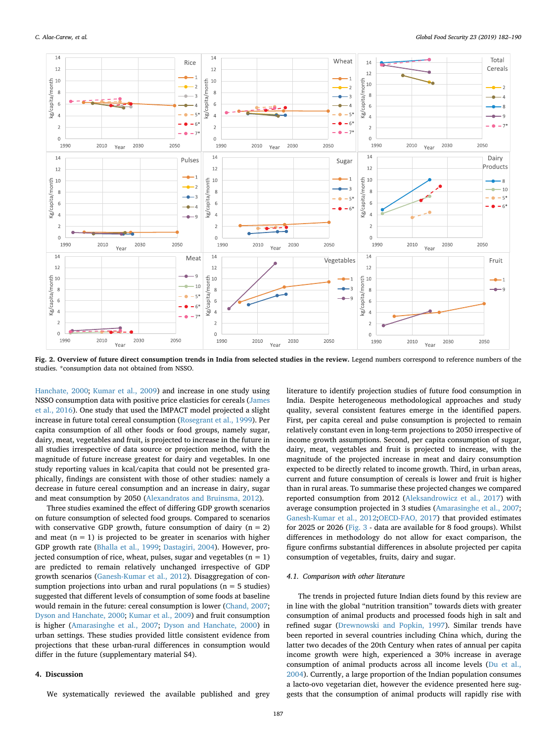<span id="page-5-0"></span>

**Fig. 2. Overview of future direct consumption trends in India from selected studies in the review.** Legend numbers correspond to reference numbers of the studies. \*consumption data not obtained from NSSO.

[Hanchate, 2000](#page-7-15); [Kumar et al., 2009\)](#page-7-17) and increase in one study using NSSO consumption data with positive price elasticies for cereals ([James](#page-7-8) [et al., 2016\)](#page-7-8). One study that used the IMPACT model projected a slight increase in future total cereal consumption ([Rosegrant et al., 1999\)](#page-8-7). Per capita consumption of all other foods or food groups, namely sugar, dairy, meat, vegetables and fruit, is projected to increase in the future in all studies irrespective of data source or projection method, with the magnitude of future increase greatest for dairy and vegetables. In one study reporting values in kcal/capita that could not be presented graphically, findings are consistent with those of other studies: namely a decrease in future cereal consumption and an increase in dairy, sugar and meat consumption by 2050 [\(Alexandratos and Bruinsma, 2012](#page-7-10)).

Three studies examined the effect of differing GDP growth scenarios on future consumption of selected food groups. Compared to scenarios with conservative GDP growth, future consumption of dairy  $(n = 2)$ and meat  $(n = 1)$  is projected to be greater in scenarios with higher GDP growth rate ([Bhalla et al., 1999;](#page-7-12) [Dastagiri, 2004](#page-7-14)). However, projected consumption of rice, wheat, pulses, sugar and vegetables  $(n = 1)$ are predicted to remain relatively unchanged irrespective of GDP growth scenarios ([Ganesh-Kumar et al., 2012\)](#page-7-16). Disaggregation of consumption projections into urban and rural populations ( $n = 5$  studies) suggested that different levels of consumption of some foods at baseline would remain in the future: cereal consumption is lower [\(Chand, 2007](#page-7-13); [Dyson and Hanchate, 2000](#page-7-15); [Kumar et al., 2009](#page-7-17)) and fruit consumption is higher [\(Amarasinghe et al., 2007](#page-7-11); [Dyson and Hanchate, 2000\)](#page-7-15) in urban settings. These studies provided little consistent evidence from projections that these urban-rural differences in consumption would differ in the future (supplementary material S4).

#### **4. Discussion**

We systematically reviewed the available published and grey

literature to identify projection studies of future food consumption in India. Despite heterogeneous methodological approaches and study quality, several consistent features emerge in the identified papers. First, per capita cereal and pulse consumption is projected to remain relatively constant even in long-term projections to 2050 irrespective of income growth assumptions. Second, per capita consumption of sugar, dairy, meat, vegetables and fruit is projected to increase, with the magnitude of the projected increase in meat and dairy consumption expected to be directly related to income growth. Third, in urban areas, current and future consumption of cereals is lower and fruit is higher than in rural areas. To summarise these projected changes we compared reported consumption from 2012 ([Aleksandrowicz et al., 2017](#page-7-21)) with average consumption projected in 3 studies [\(Amarasinghe et al., 2007](#page-7-11); [Ganesh-Kumar et al., 2012](#page-7-16)[;OECD-FAO, 2017](#page-7-19)) that provided estimates for 2025 or 2026 ([Fig. 3](#page-6-0) - data are available for 8 food groups). Whilst differences in methodology do not allow for exact comparison, the figure confirms substantial differences in absolute projected per capita consumption of vegetables, fruits, dairy and sugar.

# *4.1. Comparison with other literature*

The trends in projected future Indian diets found by this review are in line with the global "nutrition transition" towards diets with greater consumption of animal products and processed foods high in salt and refined sugar ([Drewnowski and Popkin, 1997\)](#page-7-22). Similar trends have been reported in several countries including China which, during the latter two decades of the 20th Century when rates of annual per capita income growth were high, experienced a 30% increase in average consumption of animal products across all income levels ([Du et al.,](#page-7-23) [2004\)](#page-7-23). Currently, a large proportion of the Indian population consumes a lacto-ovo vegetarian diet, however the evidence presented here suggests that the consumption of animal products will rapidly rise with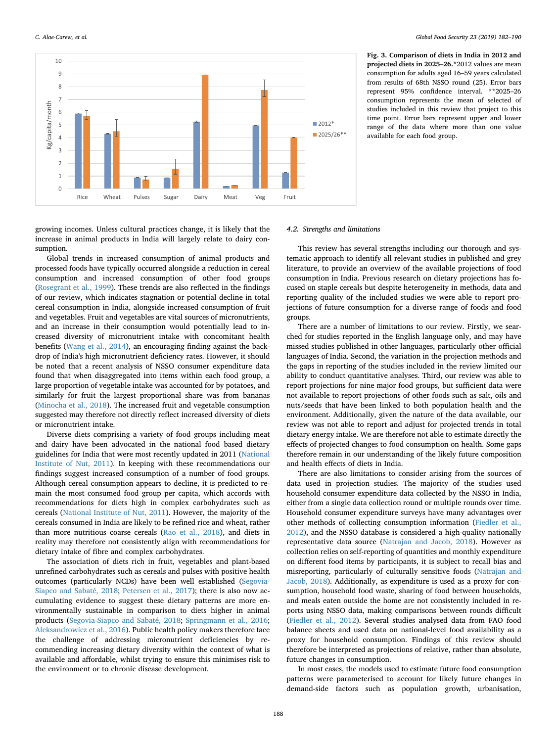<span id="page-6-0"></span>

**Fig. 3. Comparison of diets in India in 2012 and projected diets in 2025**–**26.**\*2012 values are mean consumption for adults aged 16–59 years calculated from results of 68th NSSO round (25). Error bars represent 95% confidence interval. \*\*2025–26 consumption represents the mean of selected of studies included in this review that project to this time point. Error bars represent upper and lower range of the data where more than one value available for each food group.

growing incomes. Unless cultural practices change, it is likely that the increase in animal products in India will largely relate to dairy consumption.

Global trends in increased consumption of animal products and processed foods have typically occurred alongside a reduction in cereal consumption and increased consumption of other food groups ([Rosegrant et al., 1999\)](#page-8-7). These trends are also reflected in the findings of our review, which indicates stagnation or potential decline in total cereal consumption in India, alongside increased consumption of fruit and vegetables. Fruit and vegetables are vital sources of micronutrients, and an increase in their consumption would potentially lead to increased diversity of micronutrient intake with concomitant health benefits ([Wang et al., 2014\)](#page-8-9), an encouraging finding against the backdrop of India's high micronutrient deficiency rates. However, it should be noted that a recent analysis of NSSO consumer expenditure data found that when disaggregated into items within each food group, a large proportion of vegetable intake was accounted for by potatoes, and similarly for fruit the largest proportional share was from bananas ([Minocha et al., 2018](#page-7-24)). The increased fruit and vegetable consumption suggested may therefore not directly reflect increased diversity of diets or micronutrient intake.

Diverse diets comprising a variety of food groups including meat and dairy have been advocated in the national food based dietary guidelines for India that were most recently updated in 2011 [\(National](#page-7-25) [Institute of Nut, 2011\)](#page-7-25). In keeping with these recommendations our findings suggest increased consumption of a number of food groups. Although cereal consumption appears to decline, it is predicted to remain the most consumed food group per capita, which accords with recommendations for diets high in complex carbohydrates such as cereals [\(National Institute of Nut, 2011](#page-7-25)). However, the majority of the cereals consumed in India are likely to be refined rice and wheat, rather than more nutritious coarse cereals ([Rao et al., 2018](#page-7-1)), and diets in reality may therefore not consistently align with recommendations for dietary intake of fibre and complex carbohydrates.

The association of diets rich in fruit, vegetables and plant-based unrefined carbohydrates such as cereals and pulses with positive health outcomes (particularly NCDs) have been well established ([Segovia-](#page-8-10)[Siapco and Sabaté, 2018](#page-8-10); [Petersen et al., 2017\)](#page-7-26); there is also now accumulating evidence to suggest these dietary patterns are more environmentally sustainable in comparison to diets higher in animal products [\(Segovia-Siapco and Sabaté, 2018](#page-8-10); [Springmann et al., 2016](#page-8-11); [Aleksandrowicz et al., 2016](#page-7-27)). Public health policy makers therefore face the challenge of addressing micronutrient deficiencies by recommending increasing dietary diversity within the context of what is available and affordable, whilst trying to ensure this minimises risk to the environment or to chronic disease development.

#### *4.2. Strengths and limitations*

This review has several strengths including our thorough and systematic approach to identify all relevant studies in published and grey literature, to provide an overview of the available projections of food consumption in India. Previous research on dietary projections has focused on staple cereals but despite heterogeneity in methods, data and reporting quality of the included studies we were able to report projections of future consumption for a diverse range of foods and food groups.

There are a number of limitations to our review. Firstly, we searched for studies reported in the English language only, and may have missed studies published in other languages, particularly other official languages of India. Second, the variation in the projection methods and the gaps in reporting of the studies included in the review limited our ability to conduct quantitative analyses. Third, our review was able to report projections for nine major food groups, but sufficient data were not available to report projections of other foods such as salt, oils and nuts/seeds that have been linked to both population health and the environment. Additionally, given the nature of the data available, our review was not able to report and adjust for projected trends in total dietary energy intake. We are therefore not able to estimate directly the effects of projected changes to food consumption on health. Some gaps therefore remain in our understanding of the likely future composition and health effects of diets in India.

There are also limitations to consider arising from the sources of data used in projection studies. The majority of the studies used household consumer expenditure data collected by the NSSO in India, either from a single data collection round or multiple rounds over time. Household consumer expenditure surveys have many advantages over other methods of collecting consumption information [\(Fiedler et al.,](#page-7-28) [2012\)](#page-7-28), and the NSSO database is considered a high-quality nationally representative data source ([Natrajan and Jacob, 2018\)](#page-7-29). However as collection relies on self-reporting of quantities and monthly expenditure on different food items by participants, it is subject to recall bias and misreporting, particularly of culturally sensitive foods [\(Natrajan and](#page-7-29) [Jacob, 2018](#page-7-29)). Additionally, as expenditure is used as a proxy for consumption, household food waste, sharing of food between households, and meals eaten outside the home are not consistently included in reports using NSSO data, making comparisons between rounds difficult ([Fiedler et al., 2012](#page-7-28)). Several studies analysed data from FAO food balance sheets and used data on national-level food availability as a proxy for household consumption. Findings of this review should therefore be interpreted as projections of relative, rather than absolute, future changes in consumption.

In most cases, the models used to estimate future food consumption patterns were parameterised to account for likely future changes in demand-side factors such as population growth, urbanisation,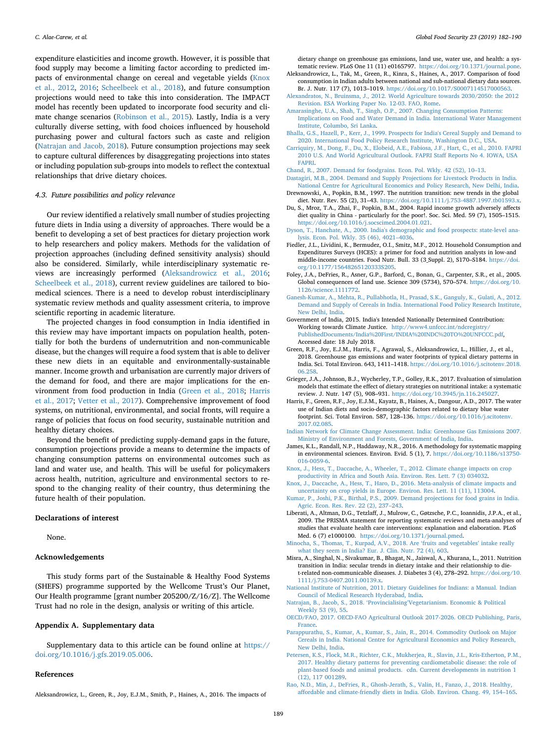expenditure elasticities and income growth. However, it is possible that food supply may become a limiting factor according to predicted impacts of environmental change on cereal and vegetable yields ([Knox](#page-7-30) [et al., 2012,](#page-7-30) [2016](#page-7-31); [Scheelbeek et al., 2018](#page-8-12)), and future consumption projections would need to take this into consideration. The IMPACT model has recently been updated to incorporate food security and climate change scenarios ([Robinson et al., 2015](#page-8-13)). Lastly, India is a very culturally diverse setting, with food choices influenced by household purchasing power and cultural factors such as caste and religion ([Natrajan and Jacob, 2018\)](#page-7-29). Future consumption projections may seek to capture cultural differences by disaggregating projections into states or including population sub-groups into models to reflect the contextual relationships that drive dietary choices.

### *4.3. Future possibilities and policy relevance*

Our review identified a relatively small number of studies projecting future diets in India using a diversity of approaches. There would be a benefit to developing a set of best practices for dietary projection work to help researchers and policy makers. Methods for the validation of projection approaches (including defined sensitivity analysis) should also be considered. Similarly, while interdisciplinary systematic reviews are increasingly performed [\(Aleksandrowicz et al., 2016](#page-7-27); [Scheelbeek et al., 2018](#page-8-12)), current review guidelines are tailored to biomedical sciences. There is a need to develop robust interdisciplinary systematic review methods and quality assessment criteria, to improve scientific reporting in academic literature.

The projected changes in food consumption in India identified in this review may have important impacts on population health, potentially for both the burdens of undernutrition and non-communicable disease, but the changes will require a food system that is able to deliver these new diets in an equitable and environmentally-sustainable manner. Income growth and urbanisation are currently major drivers of the demand for food, and there are major implications for the environment from food production in India [\(Green et al., 2018](#page-7-4); [Harris](#page-7-6) [et al., 2017](#page-7-6); [Vetter et al., 2017\)](#page-8-14). Comprehensive improvement of food systems, on nutritional, environmental, and social fronts, will require a range of policies that focus on food security, sustainable nutrition and healthy dietary choices.

Beyond the benefit of predicting supply-demand gaps in the future, consumption projections provide a means to determine the impacts of changing consumption patterns on environmental outcomes such as land and water use, and health. This will be useful for policymakers across health, nutrition, agriculture and environmental sectors to respond to the changing reality of their country, thus determining the future health of their population.

# **Declarations of interest**

None.

# **Acknowledgements**

This study forms part of the Sustainable & Healthy Food Systems (SHEFS) programme supported by the Wellcome Trust's Our Planet, Our Health programme [grant number 205200/Z/16/Z]. The Wellcome Trust had no role in the design, analysis or writing of this article.

# **Appendix A. Supplementary data**

Supplementary data to this article can be found online at [https://](https://doi.org/10.1016/j.gfs.2019.05.006) [doi.org/10.1016/j.gfs.2019.05.006](https://doi.org/10.1016/j.gfs.2019.05.006).

### **References**

<span id="page-7-27"></span>Aleksandrowicz, L., Green, R., Joy, E.J.M., Smith, P., Haines, A., 2016. The impacts of

dietary change on greenhouse gas emissions, land use, water use, and health: a systematic review. PLoS One 11 (11) e0165797. [https://doi.org/10.1371/journal.pone.](https://doi.org/10.1371/journal.pone)

- <span id="page-7-21"></span>Aleksandrowicz, L., Tak, M., Green, R., Kinra, S., Haines, A., 2017. Comparison of food consumption in Indian adults between national and sub-national dietary data sources. Br. J. Nutr. 117 (7), 1013–1019. <https://doi.org/10.1017/S0007114517000563>.
- <span id="page-7-10"></span>[Alexandratos, N., Bruinsma, J., 2012. World Agriculture towards 2030/2050: the 2012](http://refhub.elsevier.com/S2211-9124(18)30106-8/sref5) [Revision. ESA Working Paper No. 12-03. FAO, Rome](http://refhub.elsevier.com/S2211-9124(18)30106-8/sref5).
- <span id="page-7-11"></span>[Amarasinghe, U.A., Shah, T., Singh, O.P., 2007. Changing Consumption Patterns:](http://refhub.elsevier.com/S2211-9124(18)30106-8/sref6) [Implications on Food and Water Demand in India. International Water Management](http://refhub.elsevier.com/S2211-9124(18)30106-8/sref6) [Institute, Columbo, Sri Lanka](http://refhub.elsevier.com/S2211-9124(18)30106-8/sref6).
- <span id="page-7-12"></span>[Bhalla, G.S., Hazell, P., Kerr, J., 1999. Prospects for India's Cereal Supply and Demand to](http://refhub.elsevier.com/S2211-9124(18)30106-8/sref7) [2020. International Food Policy Research Institute, Washington D.C., USA.](http://refhub.elsevier.com/S2211-9124(18)30106-8/sref7)
- <span id="page-7-18"></span>[Carriquiry, M., Dong, F., Du, X., Elobeid, A.E., Fabiosa, J.F., Hart, C., et al., 2010. FAPRI](http://refhub.elsevier.com/S2211-9124(18)30106-8/sref8) [2010 U.S. And World Agricultural Outlook. FAPRI Staff Reports No 4. IOWA, USA](http://refhub.elsevier.com/S2211-9124(18)30106-8/sref8) [FAPRI](http://refhub.elsevier.com/S2211-9124(18)30106-8/sref8).

<span id="page-7-13"></span>[Chand, R., 2007. Demand for foodgrains. Econ. Pol. Wkly. 42 \(52\), 10–13](http://refhub.elsevier.com/S2211-9124(18)30106-8/sref9).

- <span id="page-7-14"></span>[Dastagiri, M.B., 2004. Demand and Supply Projections for Livestock Products in India.](http://refhub.elsevier.com/S2211-9124(18)30106-8/sref10) [National Centre for Agricultural Economics and Policy Research, New Delhi, India.](http://refhub.elsevier.com/S2211-9124(18)30106-8/sref10) Drewnowski, A., Popkin, B.M., 1997. The nutrition transition: new trends in the global
- <span id="page-7-22"></span>diet. Nutr. Rev. 55 (2), 31–43. [https://doi.org/10.1111/j.753-4887.1997.tb01593.x.](https://doi.org/10.1111/j.753-4887.1997.tb01593.x)
- <span id="page-7-23"></span>Du, S., Mroz, T.A., Zhai, F., Popkin, B.M., 2004. Rapid income growth adversely affects diet quality in China - particularly for the poor!. Soc. Sci. Med. 59 (7), 1505–1515. <https://doi.org/10.1016/j.socscimed.2004.01.021>.
- <span id="page-7-15"></span>[Dyson, T., Hanchate, A., 2000. India's demographic and food prospects: state-level ana](http://refhub.elsevier.com/S2211-9124(18)30106-8/sref13)[lysis. Econ. Pol. Wkly. 35 \(46\), 4021–4036.](http://refhub.elsevier.com/S2211-9124(18)30106-8/sref13)
- <span id="page-7-28"></span>Fiedler, J.L., Lividini, K., Bermudez, O.I., Smitz, M.F., 2012. Household Consumption and Expenditures Surveys (HCES): a primer for food and nutrition analysts in low-and middle-income countries. Food Nutr. Bull. 33 (3\_Suppl. 2), S170–S184. [https://doi.](https://doi.org/10.1177/15648265120333S205) [org/10.1177/15648265120333S205.](https://doi.org/10.1177/15648265120333S205)
- <span id="page-7-2"></span>Foley, J.A., DeFries, R., Asner, G.P., Barford, C., Bonan, G., Carpenter, S.R., et al., 2005. Global consequences of land use. Science 309 (5734), 570–574. [https://doi.org/10.](https://doi.org/10.1126/science.1111772) [1126/science.1111772](https://doi.org/10.1126/science.1111772).
- <span id="page-7-16"></span>[Ganesh-Kumar, A., Mehta, R., Pullabhotla, H., Prasad, S.K., Ganguly, K., Gulati, A., 2012.](http://refhub.elsevier.com/S2211-9124(18)30106-8/sref16) [Demand and Supply of Cereals in India. International Food Policy Research Institute,](http://refhub.elsevier.com/S2211-9124(18)30106-8/sref16) [New Delhi, India.](http://refhub.elsevier.com/S2211-9124(18)30106-8/sref16)
- <span id="page-7-5"></span>Government of India, 2015. India's Intended Nationally Determined Contribution: Working towards Climate Justice. [http://www4.unfccc.int/ndcregistry/](http://www4.unfccc.int/ndcregistry/PublishedDocuments/India%20First/INDIA%20INDC%20TO%20UNFCCC.pdf) [PublishedDocuments/India%20First/INDIA%20INDC%20TO%20UNFCCC.pdf](http://www4.unfccc.int/ndcregistry/PublishedDocuments/India%20First/INDIA%20INDC%20TO%20UNFCCC.pdf), Accessed date: 18 July 2018.
- <span id="page-7-4"></span>Green, R.F., Joy, E.J.M., Harris, F., Agrawal, S., Aleksandrowicz, L., Hillier, J., et al., 2018. Greenhouse gas emissions and water footprints of typical dietary patterns in India. Sci. Total Environ. 643, 1411–1418. [https://doi.org/10.1016/j.scitotenv.2018.](https://doi.org/10.1016/j.scitotenv.2018.06.258) [06.258](https://doi.org/10.1016/j.scitotenv.2018.06.258).
- <span id="page-7-9"></span>Grieger, J.A., Johnson, B.J., Wycherley, T.P., Golley, R.K., 2017. Evaluation of simulation models that estimate the effect of dietary strategies on nutritional intake: a systematic review. J. Nutr. 147 (5), 908–931. <https://doi.org/10.3945/jn.116.245027>.
- <span id="page-7-6"></span>Harris, F., Green, R.F., Joy, E.J.M., Kayatz, B., Haines, A., Dangour, A.D., 2017. The water use of Indian diets and socio-demographic factors related to dietary blue water footprint. Sci. Total Environ. 587, 128–136. [https://doi.org/10.1016/j.scitotenv.](https://doi.org/10.1016/j.scitotenv.2017.02.085) [2017.02.085](https://doi.org/10.1016/j.scitotenv.2017.02.085).
- <span id="page-7-3"></span>[Indian Network for Climate Change Assessment. India: Greenhouse Gas Emissions 2007.](http://refhub.elsevier.com/S2211-9124(18)30106-8/sref21) [Ministry of Environment and Forests, Government of India, India](http://refhub.elsevier.com/S2211-9124(18)30106-8/sref21).
- <span id="page-7-8"></span>James, K.L., Randall, N.P., Haddaway, N.R., 2016. A methodology for systematic mapping in environmental sciences. Environ. Evid. 5 (1), 7. [https://doi.org/10.1186/s13750-](https://doi.org/10.1186/s13750-016-0059-6) [016-0059-6](https://doi.org/10.1186/s13750-016-0059-6).
- <span id="page-7-30"></span>[Knox, J., Hess, T., Daccache, A., Wheeler, T., 2012. Climate change impacts on crop](http://refhub.elsevier.com/S2211-9124(18)30106-8/sref23) [productivity in Africa and South Asia. Environ. Res. Lett. 7 \(3\) 034032](http://refhub.elsevier.com/S2211-9124(18)30106-8/sref23).
- <span id="page-7-31"></span>[Knox, J., Daccache, A., Hess, T., Haro, D., 2016. Meta-analysis of climate impacts and](http://refhub.elsevier.com/S2211-9124(18)30106-8/sref24) [uncertainty on crop yields in Europe. Environ. Res. Lett. 11 \(11\), 113004](http://refhub.elsevier.com/S2211-9124(18)30106-8/sref24).
- <span id="page-7-17"></span>[Kumar, P., Joshi, P.K., Birthal, P.S., 2009. Demand projections for food grains in India.](http://refhub.elsevier.com/S2211-9124(18)30106-8/sref25) [Agric. Econ. Res. Rev. 22 \(2\), 237–243.](http://refhub.elsevier.com/S2211-9124(18)30106-8/sref25)
- <span id="page-7-7"></span>Liberati, A., Altman, D.G., Tetzlaff, J., Mulrow, C., Gøtzsche, P.C., Ioannidis, J.P.A., et al., 2009. The PRISMA statement for reporting systematic reviews and meta-analyses of studies that evaluate health care interventions: explanation and elaboration. PLoS Med. 6 (7) e1000100. [https://doi.org/10.1371/journal.pmed.](https://doi.org/10.1371/journal.pmed)
- <span id="page-7-24"></span>[Minocha, S., Thomas, T., Kurpad, A.V., 2018. Are 'fruits and vegetables' intake really](http://refhub.elsevier.com/S2211-9124(18)30106-8/sref27) [what they seem in India? Eur. J. Clin. Nutr. 72 \(4\), 603](http://refhub.elsevier.com/S2211-9124(18)30106-8/sref27).
- <span id="page-7-0"></span>Misra, A., Singhal, N., Sivakumar, B., Bhagat, N., Jaiswal, A., Khurana, L., 2011. Nutrition transition in India: secular trends in dietary intake and their relationship to diet-related non-communicable diseases. J. Diabetes 3 (4), 278-292. [https://doi.org/10.](https://doi.org/10.1111/j.753-0407.2011.00139.x) [1111/j.753-0407.2011.00139.x.](https://doi.org/10.1111/j.753-0407.2011.00139.x)
- <span id="page-7-25"></span>[National Institute of Nutrition, 2011. Dietary Guidelines for Indians: a Manual. Indian](http://refhub.elsevier.com/S2211-9124(18)30106-8/sref29) [Council of Medical Research Hyderabad, India](http://refhub.elsevier.com/S2211-9124(18)30106-8/sref29).
- <span id="page-7-29"></span>[Natrajan, B., Jacob, S., 2018. 'Provincialising'Vegetarianism. Economic & Political](http://refhub.elsevier.com/S2211-9124(18)30106-8/sref30) [Weekly 53 \(9\), 55](http://refhub.elsevier.com/S2211-9124(18)30106-8/sref30).
- <span id="page-7-19"></span>[OECD/FAO, 2017. OECD-FAO Agricultural Outlook 2017-2026. OECD Publishing, Paris,](http://refhub.elsevier.com/S2211-9124(18)30106-8/sref2) [France](http://refhub.elsevier.com/S2211-9124(18)30106-8/sref2).
- <span id="page-7-20"></span>[Parappurathu, S., Kumar, A., Kumar, S., Jain, R., 2014. Commodity Outlook on Major](http://refhub.elsevier.com/S2211-9124(18)30106-8/sref31) [Cereals in India. National Centre for Agricultural Economics and Policy Research,](http://refhub.elsevier.com/S2211-9124(18)30106-8/sref31) [New Delhi, India.](http://refhub.elsevier.com/S2211-9124(18)30106-8/sref31)
- <span id="page-7-26"></span>[Petersen, K.S., Flock, M.R., Richter, C.K., Mukherjea, R., Slavin, J.L., Kris-Etherton, P.M.,](http://refhub.elsevier.com/S2211-9124(18)30106-8/sref32) [2017. Healthy dietary patterns for preventing cardiometabolic disease: the role of](http://refhub.elsevier.com/S2211-9124(18)30106-8/sref32) [plant-based foods and animal products. cdn. Current developments in nutrition 1](http://refhub.elsevier.com/S2211-9124(18)30106-8/sref32) [\(12\), 117 001289.](http://refhub.elsevier.com/S2211-9124(18)30106-8/sref32)
- <span id="page-7-1"></span>[Rao, N.D., Min, J., DeFries, R., Ghosh-Jerath, S., Valin, H., Fanzo, J., 2018. Healthy,](http://refhub.elsevier.com/S2211-9124(18)30106-8/sref33) [affordable and climate-friendly diets in India. Glob. Environ. Chang. 49, 154–165.](http://refhub.elsevier.com/S2211-9124(18)30106-8/sref33)